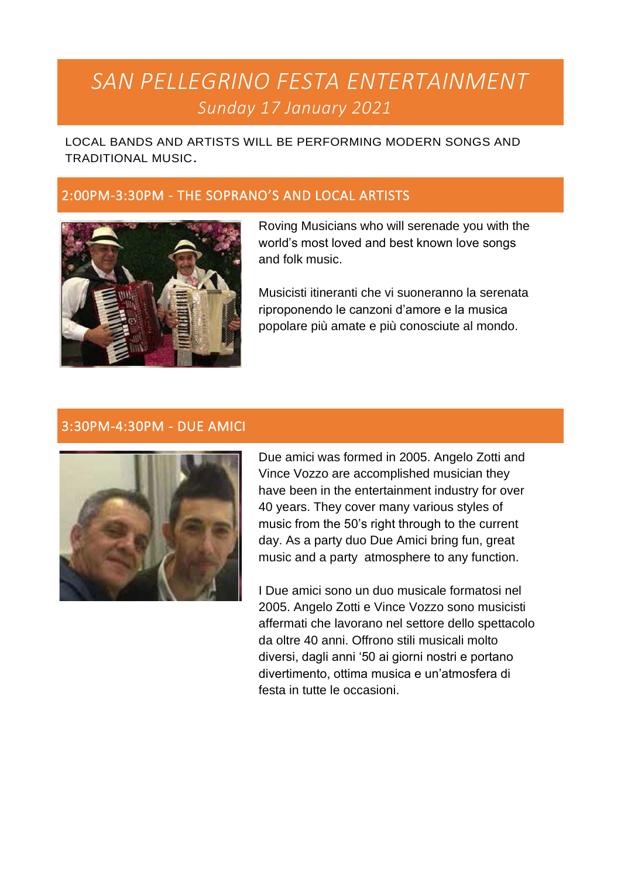# *SAN PELLEGRINO FESTA ENTERTAINMENT Sunday 17 January 2021*

LOCAL BANDS AND ARTISTS WILL BE PERFORMING MODERN SONGS AND TRADITIONAL MUSIC*.*

# 2:00PM-3:30PM - THE SOPRANO'S AND LOCAL ARTISTS



Roving Musicians who will serenade you with the world's most loved and best known love songs and folk music.

Musicisti itineranti che vi suoneranno la serenata riproponendo le canzoni d'amore e la musica popolare più amate e più conosciute al mondo.

## 3:30PM-4:30PM - DUE AMICI



Due amici was formed in 2005. Angelo Zotti and Vince Vozzo are accomplished musician they have been in the entertainment industry for over 40 years. They cover many various styles of music from the 50's right through to the current day. As a party duo Due Amici bring fun, great music and a party atmosphere to any function.

I Due amici sono un duo musicale formatosi nel 2005. Angelo Zotti e Vince Vozzo sono musicisti affermati che lavorano nel settore dello spettacolo da oltre 40 anni. Offrono stili musicali molto diversi, dagli anni '50 ai giorni nostri e portano divertimento, ottima musica e un'atmosfera di festa in tutte le occasioni.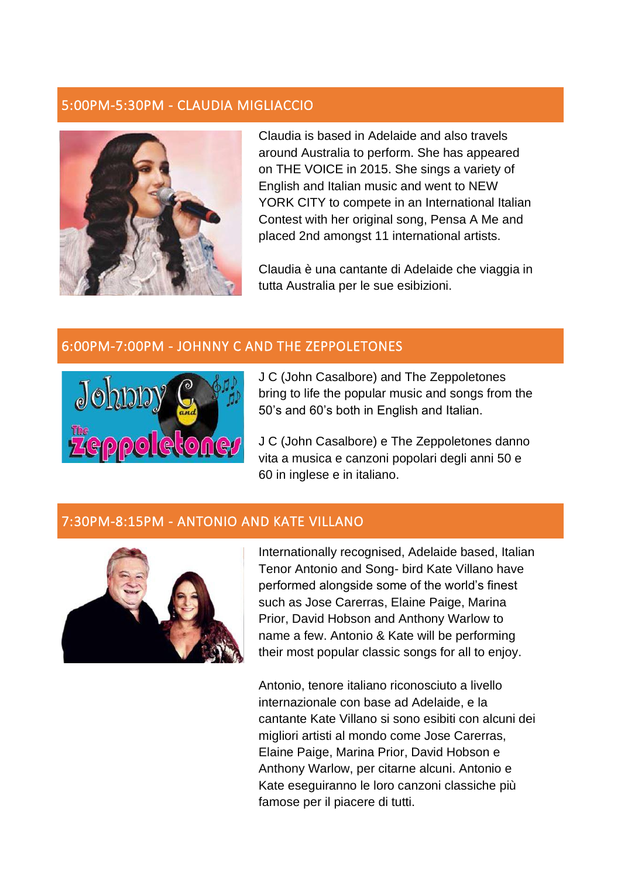# 5:00PM-5:30PM - CLAUDIA MIGLIACCIO



Claudia is based in Adelaide and also travels around Australia to perform. She has appeared on THE VOICE in 2015. She sings a variety of English and Italian music and went to NEW YORK CITY to compete in an International Italian Contest with her original song, Pensa A Me and placed 2nd amongst 11 international artists.

Claudia è una cantante di Adelaide che viaggia in tutta Australia per le sue esibizioni.

## 6:00PM-7:00PM - JOHNNY C AND THE ZEPPOLETONES



J C (John Casalbore) and The Zeppoletones bring to life the popular music and songs from the 50's and 60's both in English and Italian.

J C (John Casalbore) e The Zeppoletones danno vita a musica e canzoni popolari degli anni 50 e 60 in inglese e in italiano.

#### 7:30PM-8:15PM - ANTONIO AND KATE VILLANO



Internationally recognised, Adelaide based, Italian Tenor Antonio and Song- bird Kate Villano have performed alongside some of the world's finest such as Jose Carerras, Elaine Paige, Marina Prior, David Hobson and Anthony Warlow to name a few. Antonio & Kate will be performing their most popular classic songs for all to enjoy.

Antonio, tenore italiano riconosciuto a livello internazionale con base ad Adelaide, e la cantante Kate Villano si sono esibiti con alcuni dei migliori artisti al mondo come Jose Carerras, Elaine Paige, Marina Prior, David Hobson e Anthony Warlow, per citarne alcuni. Antonio e Kate eseguiranno le loro canzoni classiche più famose per il piacere di tutti.